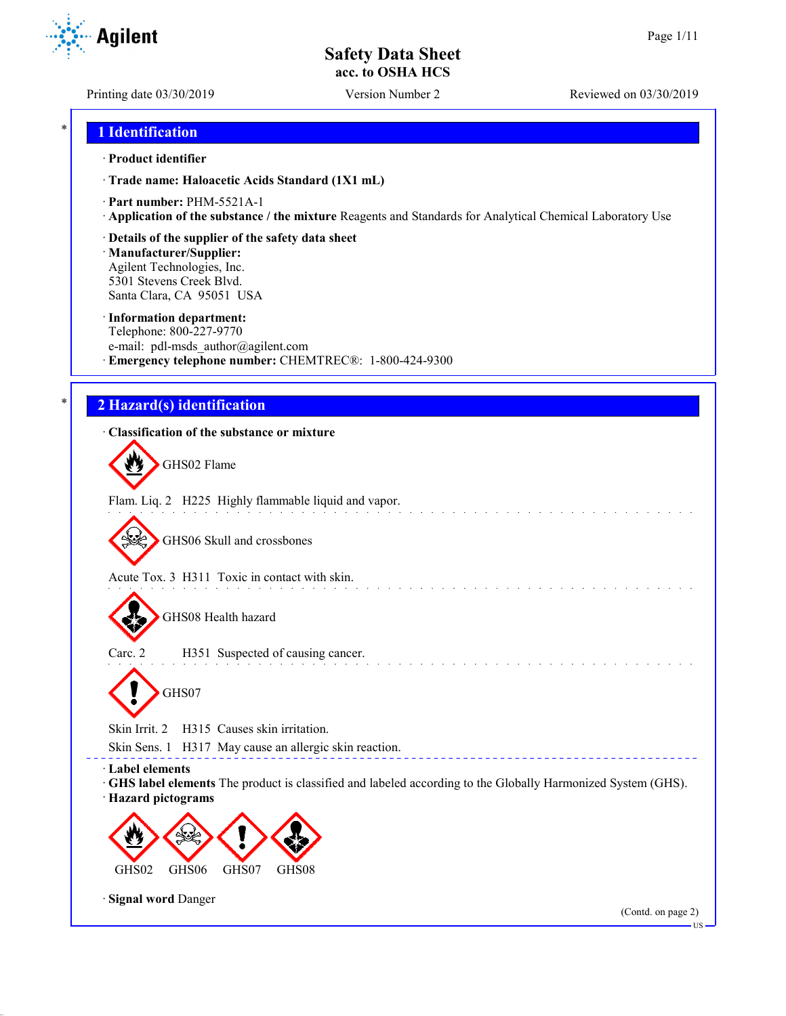**Agilent** 

Printing date 03/30/2019 Version Number 2 Reviewed on 03/30/2019

### \* **1 Identification**

#### · **Product identifier**

· **Trade name: Haloacetic Acids Standard (1X1 mL)**

- · **Part number:** PHM-5521A-1
- · **Application of the substance / the mixture** Reagents and Standards for Analytical Chemical Laboratory Use
- · **Details of the supplier of the safety data sheet**

· **Manufacturer/Supplier:** Agilent Technologies, Inc. 5301 Stevens Creek Blvd. Santa Clara, CA 95051 USA

#### · **Information department:**

Telephone: 800-227-9770 e-mail: pdl-msds author@agilent.com · **Emergency telephone number:** CHEMTREC®: 1-800-424-9300

### \* **2 Hazard(s) identification**

### · **Classification of the substance or mixture**

GHS02 Flame

Flam. Liq. 2 H225 Highly flammable liquid and vapor.

GHS06 Skull and crossbones

Acute Tox. 3 H311 Toxic in contact with skin.

GHS08 Health hazard

Carc. 2 H351 Suspected of causing cancer. GHS07

Skin Irrit. 2 H315 Causes skin irritation.

Skin Sens. 1 H317 May cause an allergic skin reaction.

· **Label elements**

· **GHS label elements** The product is classified and labeled according to the Globally Harmonized System (GHS). · **Hazard pictograms**



· **Signal word** Danger

(Contd. on page 2)

US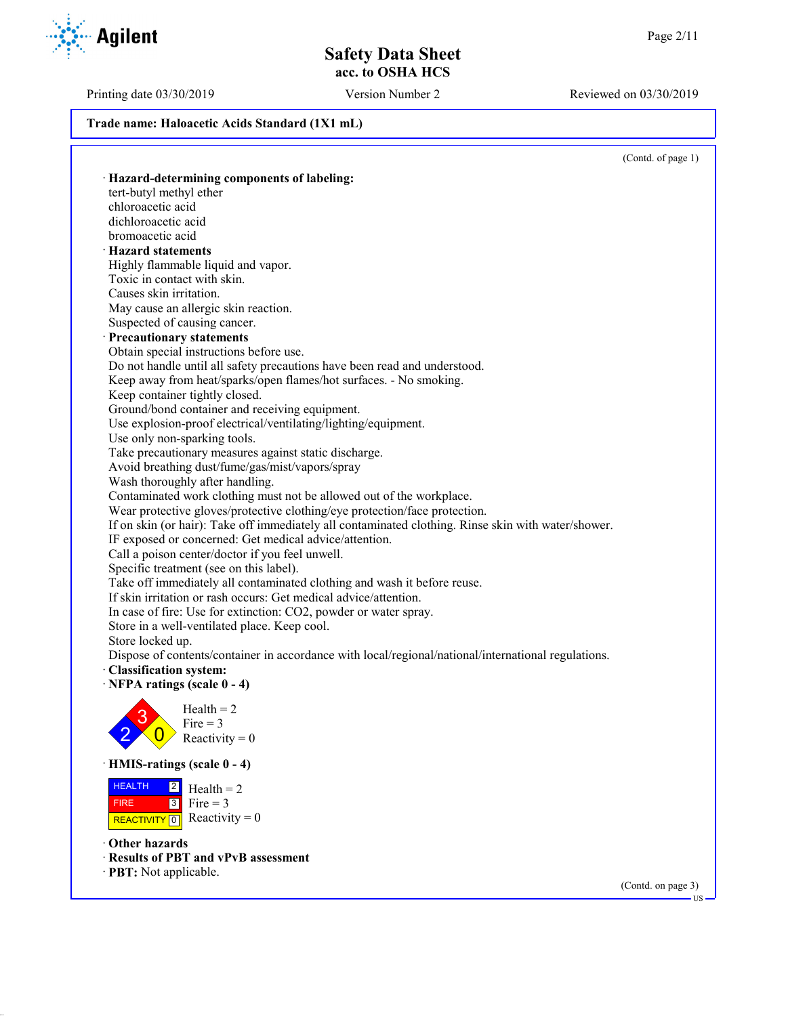Printing date 03/30/2019 Version Number 2 Reviewed on 03/30/2019

**Trade name: Haloacetic Acids Standard (1X1 mL)**

(Contd. of page 1)

(Contd. on page 3)

US

· **Hazard-determining components of labeling:** tert-butyl methyl ether chloroacetic acid dichloroacetic acid bromoacetic acid · **Hazard statements** Highly flammable liquid and vapor. Toxic in contact with skin. Causes skin irritation. May cause an allergic skin reaction. Suspected of causing cancer. · **Precautionary statements** Obtain special instructions before use. Do not handle until all safety precautions have been read and understood. Keep away from heat/sparks/open flames/hot surfaces. - No smoking. Keep container tightly closed. Ground/bond container and receiving equipment. Use explosion-proof electrical/ventilating/lighting/equipment. Use only non-sparking tools. Take precautionary measures against static discharge. Avoid breathing dust/fume/gas/mist/vapors/spray Wash thoroughly after handling. Contaminated work clothing must not be allowed out of the workplace. Wear protective gloves/protective clothing/eye protection/face protection. If on skin (or hair): Take off immediately all contaminated clothing. Rinse skin with water/shower. IF exposed or concerned: Get medical advice/attention. Call a poison center/doctor if you feel unwell. Specific treatment (see on this label). Take off immediately all contaminated clothing and wash it before reuse. If skin irritation or rash occurs: Get medical advice/attention. In case of fire: Use for extinction: CO2, powder or water spray. Store in a well-ventilated place. Keep cool. Store locked up. Dispose of contents/container in accordance with local/regional/national/international regulations. · **Classification system:** · **NFPA ratings (scale 0 - 4)** 2 3  $\overline{0}$  $Health = 2$ Fire  $=$  3 Reactivity  $= 0$ · **HMIS-ratings (scale 0 - 4) HEALTH**  FIRE REACTIVITY  $\boxed{0}$  Reactivity = 0  $\overline{2}$  $3$  Fire = 3  $Health = 2$ · **Other hazards** · **Results of PBT and vPvB assessment** · **PBT:** Not applicable.

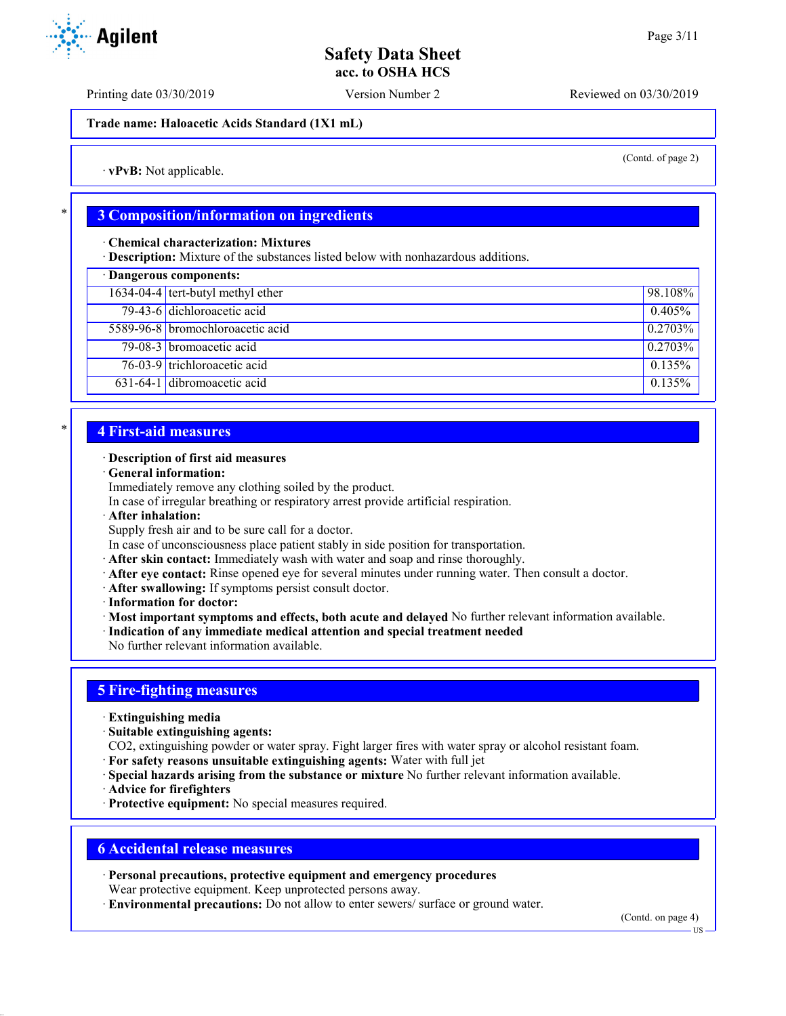Printing date 03/30/2019 Version Number 2 Reviewed on 03/30/2019

**Trade name: Haloacetic Acids Standard (1X1 mL)**

(Contd. of page 2)

· **vPvB:** Not applicable.

### \* **3 Composition/information on ingredients**

· **Chemical characterization: Mixtures**

· **Description:** Mixture of the substances listed below with nonhazardous additions.

| · Dangerous components: |                                           |            |  |  |
|-------------------------|-------------------------------------------|------------|--|--|
|                         | 1634-04-4 tert-butyl methyl ether         | 98.108%    |  |  |
|                         | 79-43-6 dichloroacetic acid               | 0.405%     |  |  |
|                         | 5589-96-8 bromochloroacetic acid          | $0.2703\%$ |  |  |
|                         | 79-08-3 bromoacetic acid                  | $0.2703\%$ |  |  |
|                         | $\overline{76-03-9}$ trichloroacetic acid | 0.135%     |  |  |
|                         | 631-64-1 dibromoacetic acid               | 0.135%     |  |  |

### \* **4 First-aid measures**

#### · **Description of first aid measures**

· **General information:**

Immediately remove any clothing soiled by the product.

In case of irregular breathing or respiratory arrest provide artificial respiration.

· **After inhalation:**

Supply fresh air and to be sure call for a doctor.

In case of unconsciousness place patient stably in side position for transportation.

- · **After skin contact:** Immediately wash with water and soap and rinse thoroughly.
- · **After eye contact:** Rinse opened eye for several minutes under running water. Then consult a doctor.
- · **After swallowing:** If symptoms persist consult doctor.
- · **Information for doctor:**

· **Most important symptoms and effects, both acute and delayed** No further relevant information available.

· **Indication of any immediate medical attention and special treatment needed**

No further relevant information available.

## **5 Fire-fighting measures**

- · **Extinguishing media**
- · **Suitable extinguishing agents:**
- CO2, extinguishing powder or water spray. Fight larger fires with water spray or alcohol resistant foam.
- · **For safety reasons unsuitable extinguishing agents:** Water with full jet
- · **Special hazards arising from the substance or mixture** No further relevant information available.
- · **Advice for firefighters**
- · **Protective equipment:** No special measures required.

### **6 Accidental release measures**

- · **Personal precautions, protective equipment and emergency procedures** Wear protective equipment. Keep unprotected persons away.
- · **Environmental precautions:** Do not allow to enter sewers/ surface or ground water.

(Contd. on page 4)

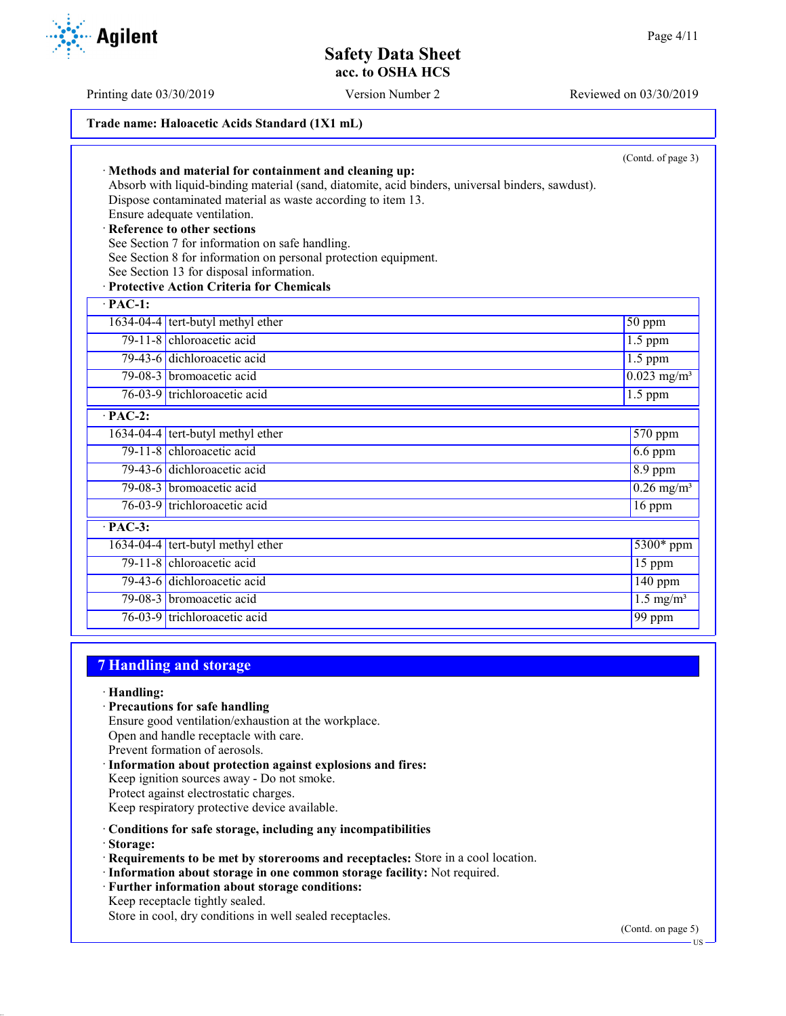Printing date 03/30/2019 Version Number 2 Reviewed on 03/30/2019

### **Trade name: Haloacetic Acids Standard (1X1 mL)**

|                      | · Methods and material for containment and cleaning up:<br>Absorb with liquid-binding material (sand, diatomite, acid binders, universal binders, sawdust).<br>Dispose contaminated material as waste according to item 13.<br>Ensure adequate ventilation.<br>· Reference to other sections<br>See Section 7 for information on safe handling.<br>See Section 8 for information on personal protection equipment.<br>See Section 13 for disposal information.<br>· Protective Action Criteria for Chemicals | (Contd. of page 3)        |
|----------------------|--------------------------------------------------------------------------------------------------------------------------------------------------------------------------------------------------------------------------------------------------------------------------------------------------------------------------------------------------------------------------------------------------------------------------------------------------------------------------------------------------------------|---------------------------|
| $\cdot$ PAC-1:       |                                                                                                                                                                                                                                                                                                                                                                                                                                                                                                              |                           |
|                      | $1634-04-4$ tert-butyl methyl ether                                                                                                                                                                                                                                                                                                                                                                                                                                                                          | $50$ ppm                  |
|                      | 79-11-8 chloroacetic acid                                                                                                                                                                                                                                                                                                                                                                                                                                                                                    | $1.5$ ppm                 |
|                      | 79-43-6 dichloroacetic acid                                                                                                                                                                                                                                                                                                                                                                                                                                                                                  | $1.5$ ppm                 |
|                      | 79-08-3 bromoacetic acid                                                                                                                                                                                                                                                                                                                                                                                                                                                                                     | $0.023$ mg/m <sup>3</sup> |
|                      | 76-03-9 trichloroacetic acid                                                                                                                                                                                                                                                                                                                                                                                                                                                                                 | $1.5$ ppm                 |
| $\overline{PAC-2}$ : |                                                                                                                                                                                                                                                                                                                                                                                                                                                                                                              |                           |
|                      | 1634-04-4 tert-butyl methyl ether                                                                                                                                                                                                                                                                                                                                                                                                                                                                            | 570 ppm                   |
|                      | 79-11-8 chloroacetic acid                                                                                                                                                                                                                                                                                                                                                                                                                                                                                    | $6.6$ ppm                 |
|                      | 79-43-6 dichloroacetic acid                                                                                                                                                                                                                                                                                                                                                                                                                                                                                  | 8.9 ppm                   |
|                      | 79-08-3 bromoacetic acid                                                                                                                                                                                                                                                                                                                                                                                                                                                                                     | $0.26$ mg/m <sup>3</sup>  |
|                      | 76-03-9 trichloroacetic acid                                                                                                                                                                                                                                                                                                                                                                                                                                                                                 | $16$ ppm                  |
| $\overline{PAC-3}$ : |                                                                                                                                                                                                                                                                                                                                                                                                                                                                                                              |                           |
|                      | 1634-04-4 tert-butyl methyl ether                                                                                                                                                                                                                                                                                                                                                                                                                                                                            | 5300* ppm                 |
|                      | 79-11-8 chloroacetic acid                                                                                                                                                                                                                                                                                                                                                                                                                                                                                    | 15 ppm                    |
|                      | 79-43-6 dichloroacetic acid                                                                                                                                                                                                                                                                                                                                                                                                                                                                                  | $\overline{140}$ ppm      |
|                      | 79-08-3 bromoacetic acid                                                                                                                                                                                                                                                                                                                                                                                                                                                                                     | $1.5 \text{ mg/m}^3$      |
|                      | 76-03-9 trichloroacetic acid                                                                                                                                                                                                                                                                                                                                                                                                                                                                                 | 99 ppm                    |

### **7 Handling and storage**

- · **Handling:**
- · **Precautions for safe handling**
- Ensure good ventilation/exhaustion at the workplace.
- Open and handle receptacle with care.
- Prevent formation of aerosols.
- · **Information about protection against explosions and fires:** Keep ignition sources away - Do not smoke. Protect against electrostatic charges. Keep respiratory protective device available.
- · **Conditions for safe storage, including any incompatibilities**
- · **Storage:**
- · **Requirements to be met by storerooms and receptacles:** Store in a cool location.
- · **Information about storage in one common storage facility:** Not required.
- · **Further information about storage conditions:**
- Keep receptacle tightly sealed.

Store in cool, dry conditions in well sealed receptacles.

(Contd. on page 5)



US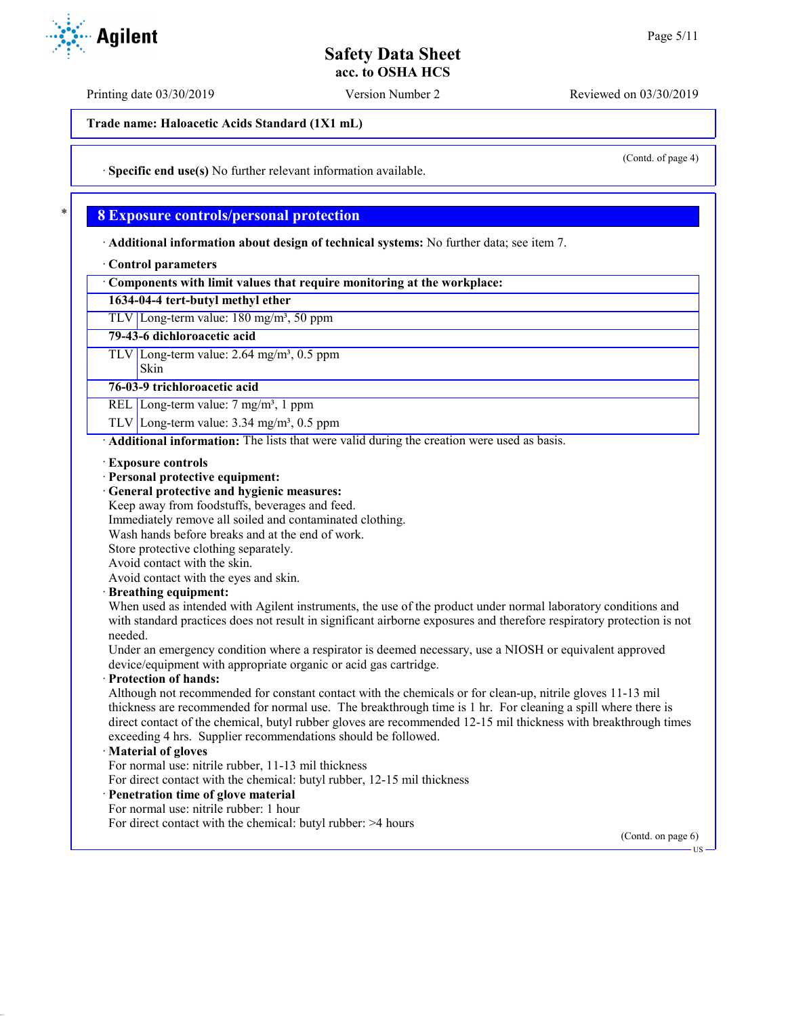Printing date 03/30/2019 Version Number 2 Reviewed on 03/30/2019

**Trade name: Haloacetic Acids Standard (1X1 mL)**

(Contd. of page 4)

· **Specific end use(s)** No further relevant information available.

### \* **8 Exposure controls/personal protection**

· **Additional information about design of technical systems:** No further data; see item 7.

#### · **Control parameters**

· **Components with limit values that require monitoring at the workplace:**

### **1634-04-4 tert-butyl methyl ether**

TLV Long-term value: 180 mg/m<sup>3</sup>, 50 ppm

#### **79-43-6 dichloroacetic acid**

 $TLV$  Long-term value: 2.64 mg/m<sup>3</sup>, 0.5 ppm

# Skin

**76-03-9 trichloroacetic acid**

REL Long-term value: 7 mg/m<sup>3</sup>, 1 ppm

TLV Long-term value:  $3.34 \text{ mg/m}^3$ , 0.5 ppm

· **Additional information:** The lists that were valid during the creation were used as basis.

#### · **Exposure controls**

· **Personal protective equipment:**

#### · **General protective and hygienic measures:**

Keep away from foodstuffs, beverages and feed.

Immediately remove all soiled and contaminated clothing.

Wash hands before breaks and at the end of work.

Store protective clothing separately.

Avoid contact with the skin.

Avoid contact with the eyes and skin.

#### · **Breathing equipment:**

When used as intended with Agilent instruments, the use of the product under normal laboratory conditions and with standard practices does not result in significant airborne exposures and therefore respiratory protection is not needed.

Under an emergency condition where a respirator is deemed necessary, use a NIOSH or equivalent approved device/equipment with appropriate organic or acid gas cartridge.

#### · **Protection of hands:**

Although not recommended for constant contact with the chemicals or for clean-up, nitrile gloves 11-13 mil thickness are recommended for normal use. The breakthrough time is 1 hr. For cleaning a spill where there is direct contact of the chemical, butyl rubber gloves are recommended 12-15 mil thickness with breakthrough times exceeding 4 hrs. Supplier recommendations should be followed.

#### · **Material of gloves**

For normal use: nitrile rubber, 11-13 mil thickness

For direct contact with the chemical: butyl rubber, 12-15 mil thickness

### · **Penetration time of glove material**

For normal use: nitrile rubber: 1 hour

For direct contact with the chemical: butyl rubber: >4 hours

(Contd. on page 6)

US

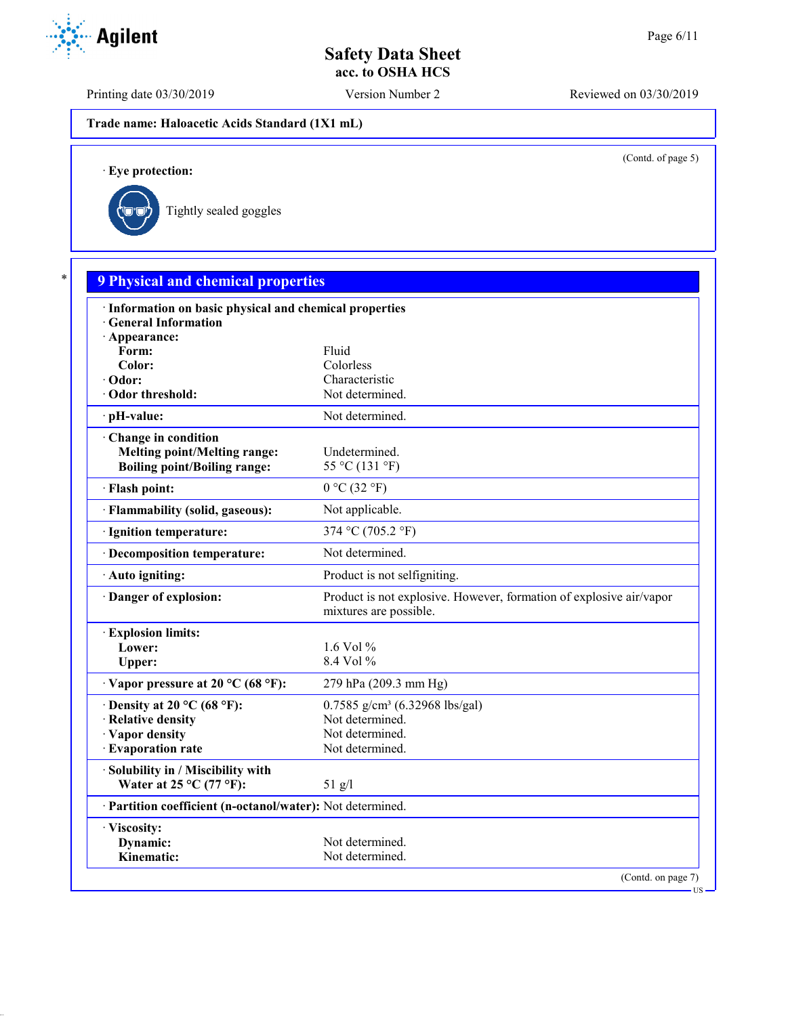Printing date 03/30/2019 Version Number 2 Reviewed on 03/30/2019

**Trade name: Haloacetic Acids Standard (1X1 mL)**

(Contd. of page 5)

· **Eye protection:**



| · Information on basic physical and chemical properties    |                                                                                               |
|------------------------------------------------------------|-----------------------------------------------------------------------------------------------|
| · General Information                                      |                                                                                               |
| · Appearance:                                              |                                                                                               |
| Form:<br>Color:                                            | Fluid<br>Colorless                                                                            |
| · Odor:                                                    | Characteristic                                                                                |
| · Odor threshold:                                          | Not determined.                                                                               |
| · pH-value:                                                | Not determined.                                                                               |
| Change in condition                                        |                                                                                               |
| <b>Melting point/Melting range:</b>                        | Undetermined.                                                                                 |
| <b>Boiling point/Boiling range:</b>                        | 55 °C (131 °F)                                                                                |
| · Flash point:                                             | $0^{\circ}$ C $(32^{\circ}F)$                                                                 |
| · Flammability (solid, gaseous):                           | Not applicable.                                                                               |
| · Ignition temperature:                                    | 374 °C (705.2 °F)                                                                             |
| · Decomposition temperature:                               | Not determined.                                                                               |
| · Auto igniting:                                           | Product is not selfigniting.                                                                  |
| Danger of explosion:                                       | Product is not explosive. However, formation of explosive air/vapor<br>mixtures are possible. |
| <b>Explosion limits:</b>                                   |                                                                                               |
| Lower:                                                     | 1.6 Vol $%$                                                                                   |
| Upper:                                                     | $8.4$ Vol $%$                                                                                 |
| $\cdot$ Vapor pressure at 20 °C (68 °F):                   | 279 hPa (209.3 mm Hg)                                                                         |
| $\cdot$ Density at 20 °C (68 °F):                          | $0.7585$ g/cm <sup>3</sup> (6.32968 lbs/gal)                                                  |
| · Relative density                                         | Not determined.                                                                               |
| · Vapor density                                            | Not determined.                                                                               |
| · Evaporation rate                                         | Not determined.                                                                               |
| · Solubility in / Miscibility with                         |                                                                                               |
| Water at $25^{\circ}$ C (77 °F):                           | $51$ g/l                                                                                      |
| · Partition coefficient (n-octanol/water): Not determined. |                                                                                               |
| · Viscosity:                                               |                                                                                               |
| Dynamic:<br>Kinematic:                                     | Not determined.<br>Not determined.                                                            |

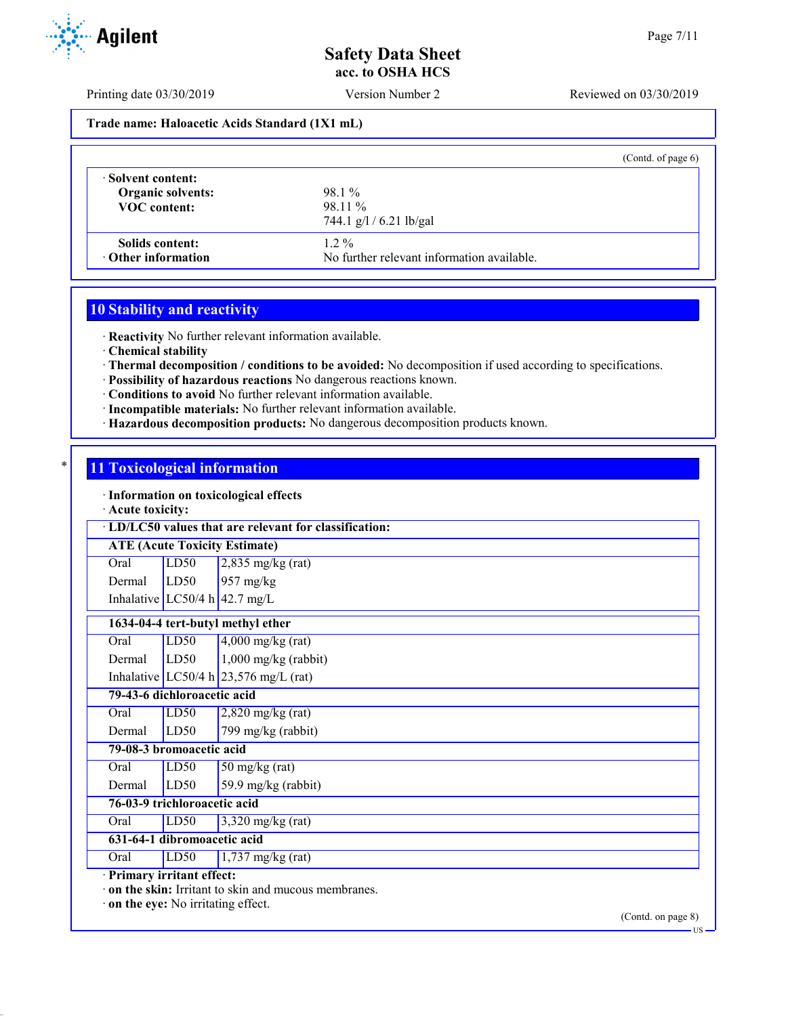Printing date 03/30/2019 Version Number 2 Reviewed on 03/30/2019

#### **Trade name: Haloacetic Acids Standard (1X1 mL)**

|                           | (Contd. of page $6$ )                      |
|---------------------------|--------------------------------------------|
| Solvent content:          | 98.1 %                                     |
| <b>Organic solvents:</b>  | 98.11 %                                    |
| <b>VOC</b> content:       | 744.1 $g/l / 6.21$ lb/gal                  |
| Solids content:           | $1.2\%$                                    |
| $\cdot$ Other information | No further relevant information available. |

# **10 Stability and reactivity**

· **Reactivity** No further relevant information available.

· **Chemical stability**

- · **Thermal decomposition / conditions to be avoided:** No decomposition if used according to specifications.
- · **Possibility of hazardous reactions** No dangerous reactions known.
- · **Conditions to avoid** No further relevant information available.
- · **Incompatible materials:** No further relevant information available.
- · **Hazardous decomposition products:** No dangerous decomposition products known.

### **11 Toxicological information**

· **Information on toxicological effects**

#### · **Acute toxicity:**

|                                      | · LD/LC50 values that are relevant for classification: |                                         |  |  |  |  |  |
|--------------------------------------|--------------------------------------------------------|-----------------------------------------|--|--|--|--|--|
| <b>ATE (Acute Toxicity Estimate)</b> |                                                        |                                         |  |  |  |  |  |
| Oral                                 | LD50                                                   | $2,835$ mg/kg (rat)                     |  |  |  |  |  |
| Dermal                               | LD50                                                   | $957 \text{ mg/kg}$                     |  |  |  |  |  |
|                                      |                                                        | Inhalative LC50/4 h $42.7 \text{ mg/L}$ |  |  |  |  |  |
|                                      | 1634-04-4 tert-butyl methyl ether                      |                                         |  |  |  |  |  |
| Oral                                 | LD50                                                   | $4,000$ mg/kg (rat)                     |  |  |  |  |  |
| Dermal                               | LD50                                                   | $1,000$ mg/kg (rabbit)                  |  |  |  |  |  |
|                                      |                                                        | Inhalative LC50/4 h $23,576$ mg/L (rat) |  |  |  |  |  |
|                                      | 79-43-6 dichloroacetic acid                            |                                         |  |  |  |  |  |
| Oral                                 | LD50                                                   | $2,820$ mg/kg (rat)                     |  |  |  |  |  |
| Dermal                               | LD50                                                   | 799 mg/kg (rabbit)                      |  |  |  |  |  |
|                                      | 79-08-3 bromoacetic acid                               |                                         |  |  |  |  |  |
| Oral                                 | LD50                                                   | $50$ mg/kg (rat)                        |  |  |  |  |  |
| Dermal                               | LD50                                                   | 59.9 mg/kg (rabbit)                     |  |  |  |  |  |
| 76-03-9 trichloroacetic acid         |                                                        |                                         |  |  |  |  |  |
| Oral                                 | LD50                                                   | $3,320$ mg/kg (rat)                     |  |  |  |  |  |
| 631-64-1 dibromoacetic acid          |                                                        |                                         |  |  |  |  |  |
| Oral                                 | LD50                                                   | $1,737$ mg/kg (rat)                     |  |  |  |  |  |
|                                      | Primary irritant effect:                               |                                         |  |  |  |  |  |
|                                      | on the skin: Irritant to skin and mucous membranes.    |                                         |  |  |  |  |  |
| on the eye: No irritating effect.    |                                                        |                                         |  |  |  |  |  |

(Contd. on page 8)



US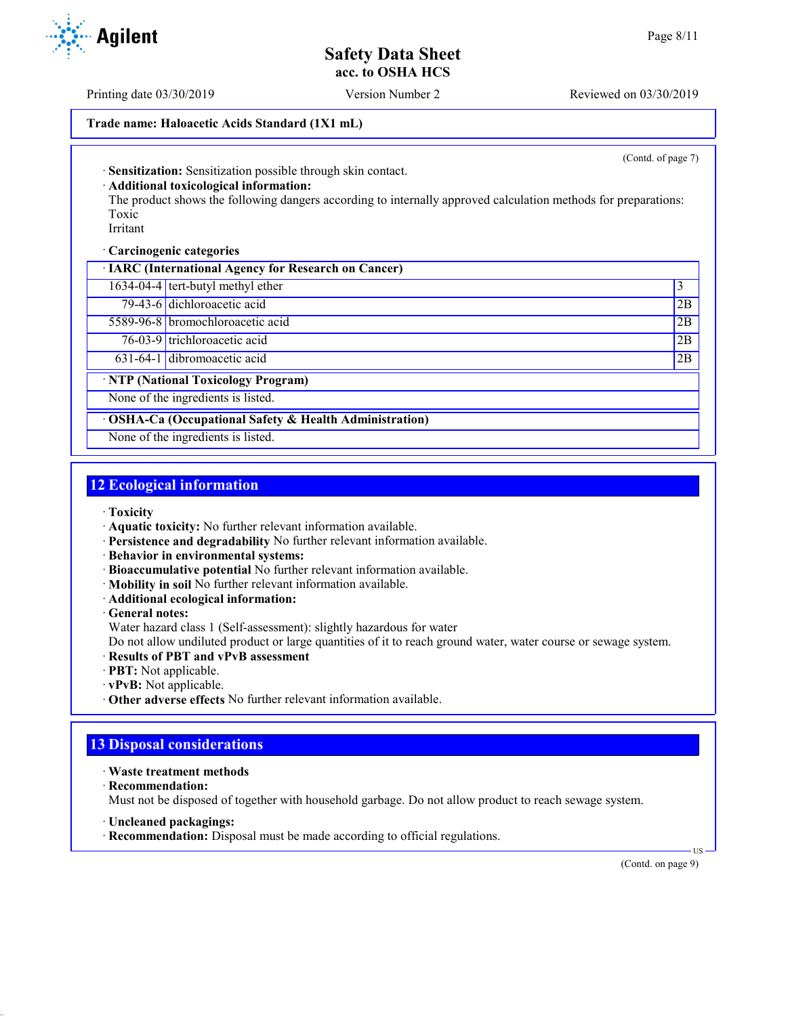Printing date 03/30/2019 Version Number 2 Reviewed on 03/30/2019

### **Trade name: Haloacetic Acids Standard (1X1 mL)**

(Contd. of page 7)

· **Sensitization:** Sensitization possible through skin contact.

· **Additional toxicological information:**

The product shows the following dangers according to internally approved calculation methods for preparations: Toxic

Irritant

· **Carcinogenic categories**

· **IARC (International Agency for Research on Cancer)**

1634-04-4 tert-butyl methyl ether 3

79-43-6 dichloroacetic acid 2B 5589-96-8 bromochloroacetic acid 2B

76-03-9 trichloroacetic acid 2B

631-64-1 dibromoacetic acid 2B

· **NTP (National Toxicology Program)**

None of the ingredients is listed.

· **OSHA-Ca (Occupational Safety & Health Administration)**

None of the ingredients is listed.

## **12 Ecological information**

- · **Toxicity**
- · **Aquatic toxicity:** No further relevant information available.
- · **Persistence and degradability** No further relevant information available.
- · **Behavior in environmental systems:**
- · **Bioaccumulative potential** No further relevant information available.
- · **Mobility in soil** No further relevant information available.
- · **Additional ecological information:**

· **General notes:**

Water hazard class 1 (Self-assessment): slightly hazardous for water

Do not allow undiluted product or large quantities of it to reach ground water, water course or sewage system.

· **Results of PBT and vPvB assessment**

· **PBT:** Not applicable.

- · **vPvB:** Not applicable.
- · **Other adverse effects** No further relevant information available.

## **13 Disposal considerations**

- · **Waste treatment methods**
- · **Recommendation:**

Must not be disposed of together with household garbage. Do not allow product to reach sewage system.

· **Uncleaned packagings:**

· **Recommendation:** Disposal must be made according to official regulations.

(Contd. on page 9)

US

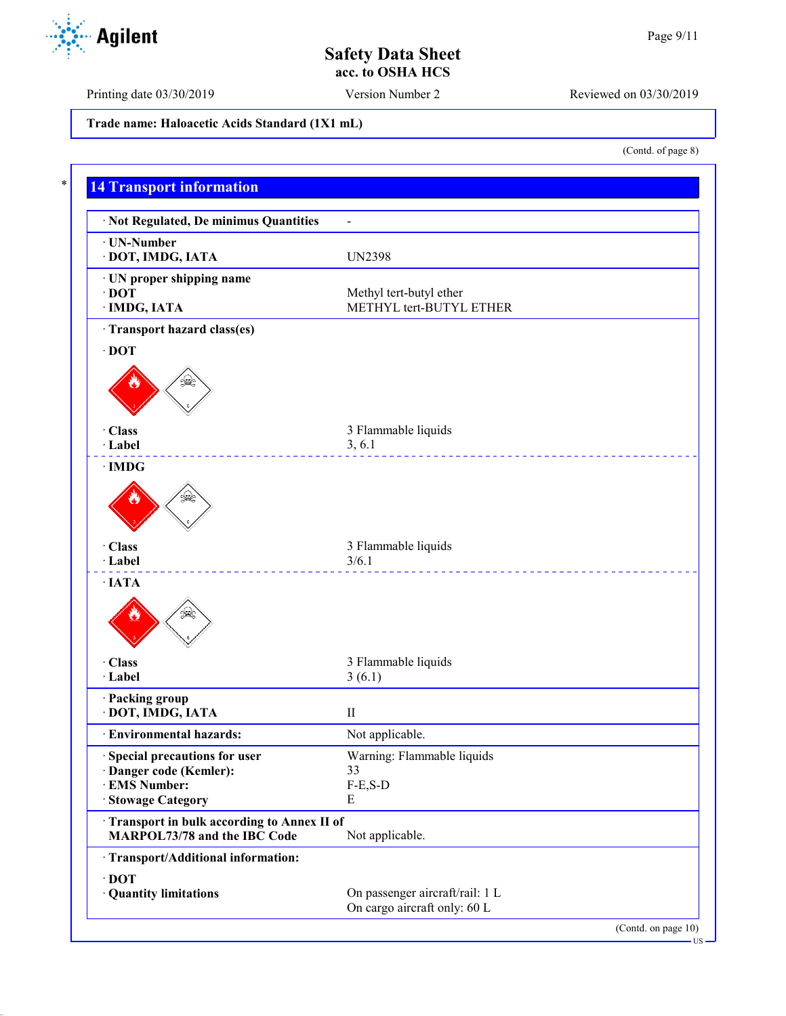Printing date 03/30/2019 Version Number 2 Reviewed on 03/30/2019

**Trade name: Haloacetic Acids Standard (1X1 mL)**

**14 Transport information** · **Not Regulated, De minimus Quantities** - · **UN-Number** · **DOT, IMDG, IATA** UN2398 · **UN proper shipping name** · **DOT** Methyl tert-butyl ether · **IMDG, IATA** METHYL tert-BUTYL ETHER · **Transport hazard class(es)** · **DOT** · **Class** 3 Flammable liquids 3, 6.1 · **Label** 3, 6.1 · **IMDG** · **Class** 3 Flammable liquids · **Label** 3/6.1 <u>. . . . . . . . . . . . . . .</u> · **IATA** · **Class** 3 Flammable liquids 3 Flammable liquids 3 (6.1)  $3(6.1)$ · **Packing group** · **DOT, IMDG, IATA** II · **Environmental hazards:** Not applicable. · **Special precautions for user** Warning: Flammable liquids · **Danger code (Kemler):** 33  $\cdot$  **EMS Number:** · **Stowage Category** E · **Transport in bulk according to Annex II of MARPOL73/78 and the IBC Code** Not applicable. · **Transport/Additional information:** · **DOT** · **Quantity limitations** On passenger aircraft/rail: 1 L On cargo aircraft only: 60 L (Contd. on page 10) US



(Contd. of page 8)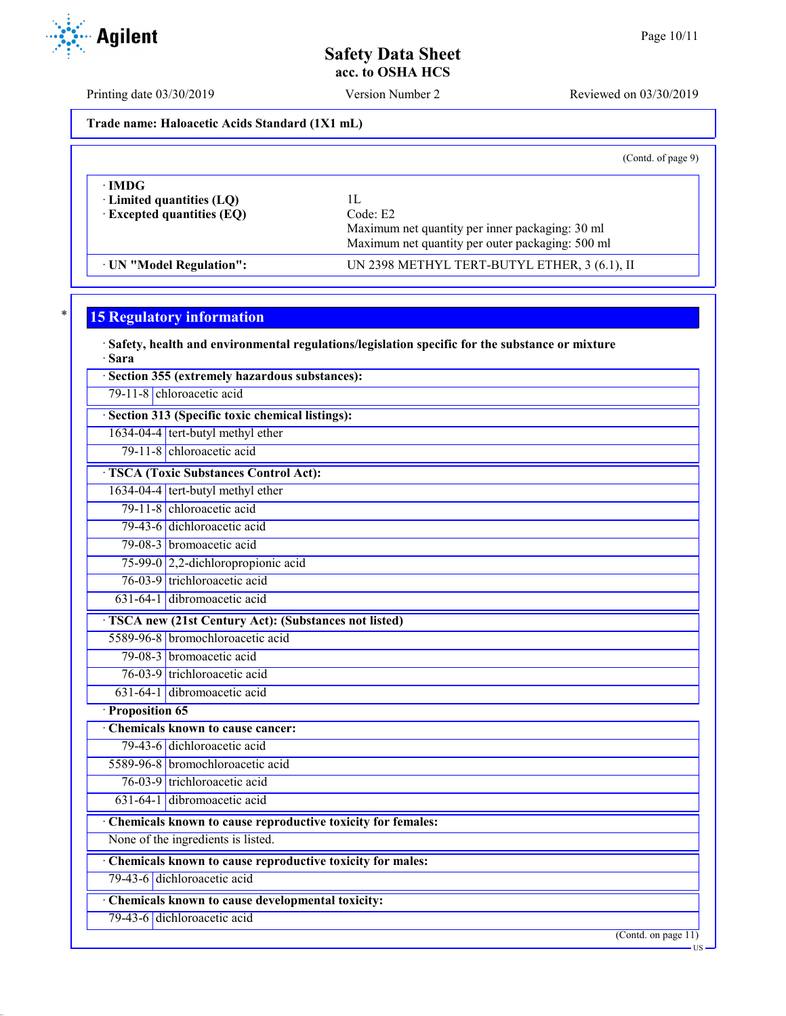Printing date 03/30/2019 Version Number 2 Reviewed on 03/30/2019

**Trade name: Haloacetic Acids Standard (1X1 mL)**

(Contd. of page 9)

| ∙IMDG<br>$\cdot$ Limited quantities (LQ)<br>$\cdot$ Excepted quantities (EQ) | Code: E2<br>Maximum net quantity per inner packaging: 30 ml<br>Maximum net quantity per outer packaging: 500 ml |  |
|------------------------------------------------------------------------------|-----------------------------------------------------------------------------------------------------------------|--|
| UN "Model Regulation":                                                       | UN 2398 METHYL TERT-BUTYL ETHER, 3 (6.1), II                                                                    |  |

# **15 Regulatory information**

· **Safety, health and environmental regulations/legislation specific for the substance or mixture** · **Sara** · **Section 355 (extremely hazardous substances):**

79-11-8 chloroacetic acid

· **Section 313 (Specific toxic chemical listings):**

1634-04-4 tert-butyl methyl ether

79-11-8 chloroacetic acid

· **TSCA (Toxic Substances Control Act):** 1634-04-4 tert-butyl methyl ether

79-11-8 chloroacetic acid

79-43-6 dichloroacetic acid

79-08-3 bromoacetic acid

75-99-0 2,2-dichloropropionic acid

76-03-9 trichloroacetic acid

631-64-1 dibromoacetic acid

· **TSCA new (21st Century Act): (Substances not listed)**

5589-96-8 bromochloroacetic acid 79-08-3 bromoacetic acid

76-03-9 trichloroacetic acid

631-64-1 dibromoacetic acid

· **Proposition 65**

· **Chemicals known to cause cancer:** 79-43-6 dichloroacetic acid

5589-96-8 bromochloroacetic acid

76-03-9 trichloroacetic acid

631-64-1 dibromoacetic acid

· **Chemicals known to cause reproductive toxicity for females:**

None of the ingredients is listed.

· **Chemicals known to cause reproductive toxicity for males:**

79-43-6 dichloroacetic acid

· **Chemicals known to cause developmental toxicity:**

79-43-6 dichloroacetic acid

(Contd. on page 11)

US

**Agilent**